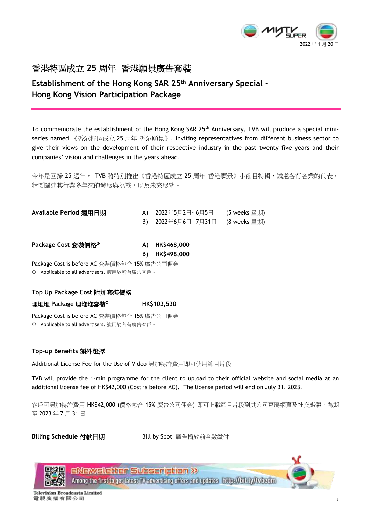

## **Establishment of the Hong Kong SAR 25 th Anniversary Special - Hong Kong Vision Participation Package**

To commemorate the establishment of the Hong Kong SAR 25<sup>th</sup> Anniversary, TVB will produce a special miniseries named 《香港特區成立 25 周年 香港願景》, inviting representatives from different business sector to give their views on the development of their respective industry in the past twenty-five years and their companies' vision and challenges in the years ahead.

今年是回歸 25 週年, TVB 將特別推出《香港特區成立 25 周年 香港願景》小節目特輯,誠邀各行各業的代表, 精要闡述其行業多年來的發展與挑戰,以及未來展望。

| Available Period 適用日期 | A) 2022年5月2日- 6月5日                | (5 weeks 星期) |
|-----------------------|-----------------------------------|--------------|
|                       | B) 2022年6月6日 - 7月31日 (8 weeks 星期) |              |
|                       |                                   |              |

**Package Cost** 套裝價格 **A) HK\$468,000** 

**B) HK\$498,000**

Package Cost is before AC 套裝價格包含 15% 廣告公司佣金 Applicable to all advertisers. 適用於所有廣告客戶。

## **Top Up Package Cost** 附加套裝價格

埋堆堆 **Package** 埋堆堆套裝 **HK\$103,530**

Package Cost is before AC 套裝價格包含 15% 廣告公司佣金 Applicable to all advertisers. 適用於所有廣告客戶。

## **Top-up Benefits** 額外選擇

Additional License Fee for the Use of Video 另加特許費用即可使用節目片段

TVB will provide the 1-min programme for the client to upload to their official website and social media at an additional license fee of HK\$42,000 (Cost is before AC). The license period will end on July 31, 2023.

客戶可另加特許費用 HK\$42,000 (價格包含 15% 廣告公司佣金) 即可上載節目片段到其公司專屬網頁及社交媒體,為期 至 2023 年 7 月 31 日。

Billing Schedule 付款日期 **Bill by Spot 廣告播放前全數繳付** 



**ENEWELEtter Subscription >>** Among the first to get latest TV advertising offers and updates http://bit.ly/tvbedm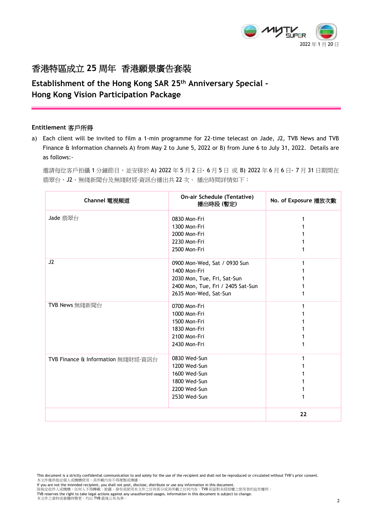

## **Establishment of the Hong Kong SAR 25 th Anniversary Special - Hong Kong Vision Participation Package**

#### **Entitlement** 客戶所得

a) Each client will be invited to film a 1-min programme for 22-time telecast on Jade, J2, TVB News and TVB Finance & Information channels A) from May 2 to June 5, 2022 or B) from June 6 to July 31, 2022. Details are as follows:-

邀請每位客戶拍攝 1 分鐘節目,並安排於 A) 2022 年 5 月 2 日 - 6 月 5 日 或 B) 2022 年 6 月 6 日 - 7 月 31 日期間在 翡翠台、J2、無綫新聞台及無綫財經·資訊台播出共 22 次。 播出時間詳情如下:

| Channel 電視頻道                       | On-air Schedule (Tentative)<br>播出時段 (暫定)                                                                                                  | No. of Exposure 播放次數 |
|------------------------------------|-------------------------------------------------------------------------------------------------------------------------------------------|----------------------|
| Jade 翡翠台                           | 0830 Mon-Fri<br>1300 Mon-Fri<br>2000 Mon-Fri<br>2230 Mon-Fri<br>2500 Mon-Fri                                                              |                      |
| J2                                 | 0900 Mon-Wed, Sat / 0930 Sun<br>1400 Mon-Fri<br>2030 Mon, Tue, Fri, Sat-Sun<br>2400 Mon, Tue, Fri / 2405 Sat-Sun<br>2635 Mon-Wed, Sat-Sun |                      |
| TVB News 無綫新聞台                     | 0700 Mon-Fri<br>1000 Mon-Fri<br>1500 Mon-Fri<br>1830 Mon-Fri<br>2100 Mon-Fri<br>2430 Mon-Fri                                              |                      |
| TVB Finance & Information 無綫財經·資訊台 | 0830 Wed-Sun<br>1200 Wed-Sun<br>1600 Wed-Sun<br>1800 Wed-Sun<br>2200 Wed-Sun<br>2530 Wed-Sun                                              |                      |
|                                    |                                                                                                                                           | 22                   |

TVB reserves the right to take legal actions against any unauthorized usages. Information in this document is subject to change.<br>本文件之資料或會隨時變更,均以 TVB 最後公布為準。

This document is a strictly confidential communication to and solely for the use of the recipient and shall not be reproduced or circulated without TVB's prior consent. 本文件僅供指定個人或機構使用,其所載內容不得複製或傳播。

lf you are not the intended recipient, you shall not post, disclose, distribute or use any information in this document.<br>除指定收件人或機構,任何人不得轉載、披露、發布或使用本文件之任何部分或其所載之任何內容,TVB 保留對未經授權之使用者的追究權利。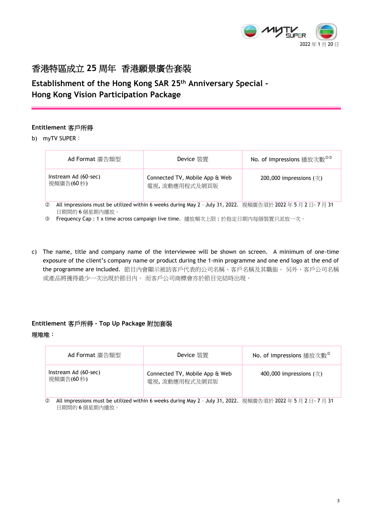

**Establishment of the Hong Kong SAR 25 th Anniversary Special - Hong Kong Vision Participation Package**

## **Entitlement** 客戶所得

b) myTV SUPER:

| Ad Format 廣告類型                                                                                                             | Device 裝置                                       | No. of impressions 播放次數 <sup>©</sup> |  |  |
|----------------------------------------------------------------------------------------------------------------------------|-------------------------------------------------|--------------------------------------|--|--|
| Instream Ad (60-sec)<br>視頻廣告(60秒)                                                                                          | Connected TV, Mobile App & Web<br>電視,流動應用程式及網頁版 | 200,000 impressions $(\frac{1}{X})$  |  |  |
| All impressions must be utilized within 6 weeks during May 2 - July 31, 2022. 視頻廣告須於 2022年5月2日-7月31<br>Ø<br>日期間的 6 個星期內播放。 |                                                 |                                      |  |  |

**3 Frequency Cap : 1 x time across campaign live time.** 播放頻次上限: 於指定日期內每個裝置只派放一次。

c) The name, title and company name of the interviewee will be shown on screen. A minimum of one-time exposure of the client's company name or product during the 1-min programme and one end logo at the end of the programme are included. 節目內會顯示被訪客戶代表的公司名稱、客戶名稱及其職銜。另外,客戶公司名稱 或產品將獲得最少一次出現於節目內。 而客戶公司商標會亦於節目完結時出現。

## **Entitlement** 客戶所得 **- Top Up Package** 附加套裝

#### 埋堆堆:

| Ad Format 廣告類型                                                                                                       | Device 裝置                                       | No. of impressions 播放次數 <sup>2</sup> |  |  |
|----------------------------------------------------------------------------------------------------------------------|-------------------------------------------------|--------------------------------------|--|--|
| Instream Ad (60-sec)<br>視頻廣告(60秒)                                                                                    | Connected TV, Mobile App & Web<br>電視,流動應用程式及網頁版 | 400,000 impressions $(\frac{1}{X})$  |  |  |
| All impressions must be utilized within 6 weeks during May 2 - July 31, 2022. 視頻廣告須於 2022年5月2日-7月31<br>$\circled{2}$ |                                                 |                                      |  |  |

◎ All impressions must be utilized within 6 weeks during May 2 - July 31, 2022. 視頻廣告須於 2022 年 5 月 2 日- 7 月 31 日期間的 6 個星期內播放。